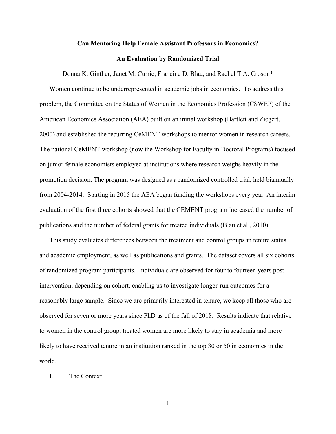# **Can Mentoring Help Female Assistant Professors in Economics?**

## **An Evaluation by Randomized Trial**

Donna K. Ginther, Janet M. Currie, Francine D. Blau, and Rachel T.A. Croson\*

Women continue to be underrepresented in academic jobs in economics. To address this problem, the Committee on the Status of Women in the Economics Profession (CSWEP) of the American Economics Association (AEA) built on an initial workshop (Bartlett and Ziegert, 2000) and established the recurring CeMENT workshops to mentor women in research careers. The national CeMENT workshop (now the Workshop for Faculty in Doctoral Programs) focused on junior female economists employed at institutions where research weighs heavily in the promotion decision. The program was designed as a randomized controlled trial, held biannually from 2004-2014. Starting in 2015 the AEA began funding the workshops every year. An interim evaluation of the first three cohorts showed that the CEMENT program increased the number of publications and the number of federal grants for treated individuals (Blau et al., 2010).

This study evaluates differences between the treatment and control groups in tenure status and academic employment, as well as publications and grants. The dataset covers all six cohorts of randomized program participants. Individuals are observed for four to fourteen years post intervention, depending on cohort, enabling us to investigate longer-run outcomes for a reasonably large sample. Since we are primarily interested in tenure, we keep all those who are observed for seven or more years since PhD as of the fall of 2018. Results indicate that relative to women in the control group, treated women are more likely to stay in academia and more likely to have received tenure in an institution ranked in the top 30 or 50 in economics in the world.

## I. The Context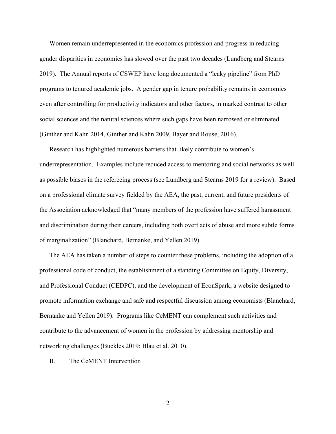Women remain underrepresented in the economics profession and progress in reducing gender disparities in economics has slowed over the past two decades (Lundberg and Stearns 2019). The Annual reports of CSWEP have long documented a "leaky pipeline" from PhD programs to tenured academic jobs. A gender gap in tenure probability remains in economics even after controlling for productivity indicators and other factors, in marked contrast to other social sciences and the natural sciences where such gaps have been narrowed or eliminated (Ginther and Kahn 2014, Ginther and Kahn 2009, Bayer and Rouse, 2016).

Research has highlighted numerous barriers that likely contribute to women's underrepresentation. Examples include reduced access to mentoring and social networks as well as possible biases in the refereeing process (see Lundberg and Stearns 2019 for a review). Based on a professional climate survey fielded by the AEA, the past, current, and future presidents of the Association acknowledged that "many members of the profession have suffered harassment and discrimination during their careers, including both overt acts of abuse and more subtle forms of marginalization" (Blanchard, Bernanke, and Yellen 2019).

The AEA has taken a number of steps to counter these problems, including the adoption of a professional code of conduct, the establishment of a standing Committee on Equity, Diversity, and Professional Conduct (CEDPC), and the development of EconSpark, a website designed to promote information exchange and safe and respectful discussion among economists (Blanchard, Bernanke and Yellen 2019). Programs like CeMENT can complement such activities and contribute to the advancement of women in the profession by addressing mentorship and networking challenges (Buckles 2019; Blau et al. 2010).

## II. The CeMENT Intervention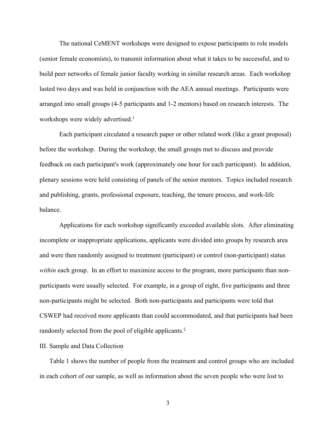The national CeMENT workshops were designed to expose participants to role models (senior female economists), to transmit information about what it takes to be successful, and to build peer networks of female junior faculty working in similar research areas. Each workshop lasted two days and was held in conjunction with the AEA annual meetings. Participants were arranged into small groups (4-5 participants and 1-2 mentors) based on research interests. The workshops were widely advertised.<sup>1</sup>

Each participant circulated a research paper or other related work (like a grant proposal) before the workshop. During the workshop, the small groups met to discuss and provide feedback on each participant's work (approximately one hour for each participant). In addition, plenary sessions were held consisting of panels of the senior mentors. Topics included research and publishing, grants, professional exposure, teaching, the tenure process, and work-life balance.

Applications for each workshop significantly exceeded available slots. After eliminating incomplete or inappropriate applications, applicants were divided into groups by research area and were then randomly assigned to treatment (participant) or control (non-participant) status *within* each group. In an effort to maximize access to the program, more participants than nonparticipants were usually selected. For example, in a group of eight, five participants and three non-participants might be selected. Both non-participants and participants were told that CSWEP had received more applicants than could accommodated, and that participants had been randomly selected from the pool of eligible applicants.<sup>2</sup>

### III. Sample and Data Collection

Table 1 shows the number of people from the treatment and control groups who are included in each cohort of our sample, as well as information about the seven people who were lost to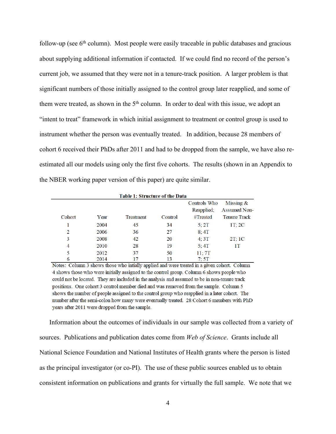follow-up (see  $6<sup>th</sup>$  column). Most people were easily traceable in public databases and gracious about supplying additional information if contacted. If we could find no record of the person's current job, we assumed that they were not in a tenure-track position. A larger problem is that significant numbers of those initially assigned to the control group later reapplied, and some of them were treated, as shown in the  $5<sup>th</sup>$  column. In order to deal with this issue, we adopt an "intent to treat" framework in which initial assignment to treatment or control group is used to instrument whether the person was eventually treated. In addition, because 28 members of cohort 6 received their PhDs after 2011 and had to be dropped from the sample, we have also reestimated all our models using only the first five cohorts. The results (shown in an Appendix to the NBER working paper version of this paper) are quite similar.

| <b>Table 1: Structure of the Data</b> |      |           |         |              |                     |  |  |  |
|---------------------------------------|------|-----------|---------|--------------|---------------------|--|--|--|
|                                       |      |           |         | Controls Who | Missing $&$         |  |  |  |
|                                       |      |           |         | Reapplied;   | <b>Assumed Non-</b> |  |  |  |
| Cohort                                | Year | Treatment | Control | #Treated     | <b>Tenure Track</b> |  |  |  |
|                                       | 2004 | 45        | 34      | 5:2T         | 1T:2C               |  |  |  |
| 2                                     | 2006 | 36        | 27      | 8:4T         |                     |  |  |  |
| 3                                     | 2008 | 42        | 20      | 4:3T         | 2T:1C               |  |  |  |
| $\overline{4}$                        | 2010 | 28        | 19      | 5:4T         | 1Τ                  |  |  |  |
| 5                                     | 2012 | 37        | 50      | 11:7T        |                     |  |  |  |
| 6                                     | 2014 | 17        | 13      | 7:5T         |                     |  |  |  |

Notes: Column 3 shows those who initially applied and were treated in a given cohort. Column 4 shows those who were initially assigned to the control group. Column 6 shows people who could not be located. They are included in the analysis and assumed to be in non-tenure track positions. One cohort 3 control member died and was removed from the sample. Column 5 shows the number of people assigned to the control group who reapplied in a later cohort. The number after the semi-colon how many were eventually treated. 28 Cohort 6 members with PhD years after 2011 were dropped from the sample.

Information about the outcomes of individuals in our sample was collected from a variety of sources. Publications and publication dates come from *Web of Science*. Grants include all National Science Foundation and National Institutes of Health grants where the person is listed as the principal investigator (or co-PI). The use of these public sources enabled us to obtain consistent information on publications and grants for virtually the full sample. We note that we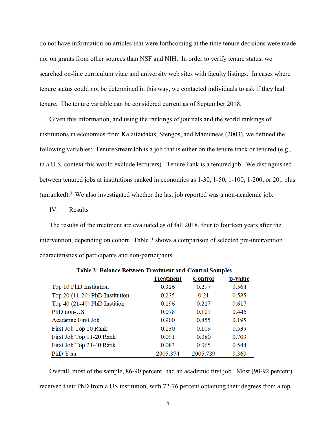do not have information on articles that were forthcoming at the time tenure decisions were made nor on grants from other sources than NSF and NIH. In order to verify tenure status, we searched on-line curriculum vitae and university web sites with faculty listings. In cases where tenure status could not be determined in this way, we contacted individuals to ask if they had tenure. The tenure variable can be considered current as of September 2018.

Given this information, and using the rankings of journals and the world rankings of institutions in economics from Kalaitzidakis, Stengos, and Mamuneas (2003), we defined the following variables: TenureStreamJob is a job that is either on the tenure track or tenured (e.g., in a U.S. context this would exclude lecturers). TenureRank is a tenured job. We distinguished between tenured jobs at institutions ranked in economics as 1-30, 1-50, 1-100, 1-200, or 201 plus (unranked).<sup>3</sup> We also investigated whether the last job reported was a non-academic job.

IV. Results

The results of the treatment are evaluated as of fall 2018, four to fourteen years after the intervention, depending on cohort. Table 2 shows a comparison of selected pre-intervention characteristics of participants and non-participants.

| Table 2: Balance Between Treatment and Control Samples |                  |                |         |  |  |  |  |  |
|--------------------------------------------------------|------------------|----------------|---------|--|--|--|--|--|
|                                                        | <b>Treatment</b> | <b>Control</b> | p-value |  |  |  |  |  |
| Top 10 PhD Institution                                 | 0.326            | 0.297          | 0.564   |  |  |  |  |  |
| Top 20 (11-20) PhD Institution                         | 0.235            | 0.21           | 0.585   |  |  |  |  |  |
| Top $40(21-40)$ PhD Instition                          | 0.196            | 0.217          | 0.617   |  |  |  |  |  |
| PhD non-US                                             | 0.078            | 0.101          | 0.446   |  |  |  |  |  |
| Academic First Job                                     | 0.900            | 0.855          | 0.195   |  |  |  |  |  |
| First Job Top 10 Rank                                  | 0.130            | 0.109          | 0.539   |  |  |  |  |  |
| First Job Top 11-20 Rank                               | 0.091            | 0.080          | 0.703   |  |  |  |  |  |
| First Job Top 21-40 Rank                               | 0.083            | 0.065          | 0.544   |  |  |  |  |  |
| PhD Year                                               | 2005.374         | 2005.739       | 0.360   |  |  |  |  |  |
|                                                        |                  |                |         |  |  |  |  |  |

Overall, most of the sample, 86-90 percent, had an academic first job. Most (90-92 percent) received their PhD from a US institution, with 72-76 percent obtaining their degrees from a top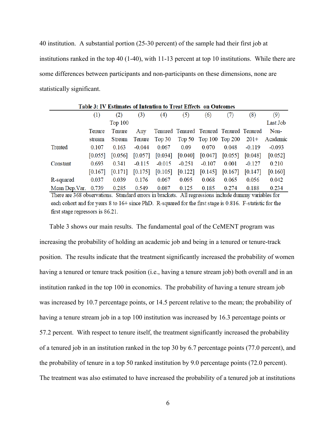40 institution. A substantial portion (25-30 percent) of the sample had their first job at institutions ranked in the top 40 (1-40), with 11-13 percent at top 10 institutions. While there are some differences between participants and non-participants on these dimensions, none are statistically significant.

| <b>Table 3: IV Estimates of Intention to Treat Effects on Outcomes</b> |         |                |           |           |          |                                         |         |           |          |  |
|------------------------------------------------------------------------|---------|----------------|-----------|-----------|----------|-----------------------------------------|---------|-----------|----------|--|
|                                                                        | (1)     | (2)            | (3)       | (4)       | (5)      | (6)                                     | (7)     | (8)       | (9)      |  |
|                                                                        |         | <b>Top 100</b> |           |           |          |                                         |         | Last Job  |          |  |
|                                                                        | Tenure  | Tenure         | Any       |           |          | Tenured Tenured Tenured Tenured Tenured |         |           | Non-     |  |
|                                                                        | stream  | Stream         | Tenure    | Top $30$  |          | Top 50 Top 100 Top 200                  |         | $201+$    | Academic |  |
| Treated                                                                | 0.107   | 0.163          | $-0.044$  | 0.067     | 0.09     | 0.070                                   | 0.048   | $-0.119$  | $-0.093$ |  |
|                                                                        | [0.055] | $[0.056]$      | $[0.057]$ | $[0.034]$ |          | $[0.040]$ $[0.047]$                     | [0.055] | $[0.048]$ | [0.052]  |  |
| Constant                                                               | 0.693   | 0.341          | $-0.115$  | $-0.015$  | $-0.251$ | $-0.107$                                | 0.001   | $-0.127$  | 0.210    |  |
|                                                                        | [0.167] | [0.171]        | [0.175]   | [0.105]   | [0.122]  | $[0.145]$                               | [0.167] | $[0.147]$ | [0.160]  |  |
| R-squared                                                              | 0.037   | 0.039          | 0.176     | 0.067     | 0.095    | 0.068                                   | 0.065   | 0.056     | 0.042    |  |
| Mean Dep.Var.                                                          | 0.739   | 0.285          | 0.549     | 0.087     | 0.125    | 0.185                                   | 0.274   | 0.188     | 0.234    |  |

There are 368 observations. Standard errors in brackets. All regressions include dummy variables for each cohort and for years 8 to 16+ since PhD. R-squared for the first stage is 0.816. F-statistic for the first stage regressors is 86.21.

Table 3 shows our main results. The fundamental goal of the CeMENT program was increasing the probability of holding an academic job and being in a tenured or tenure-track position. The results indicate that the treatment significantly increased the probability of women having a tenured or tenure track position (i.e., having a tenure stream job) both overall and in an institution ranked in the top 100 in economics. The probability of having a tenure stream job was increased by 10.7 percentage points, or 14.5 percent relative to the mean; the probability of having a tenure stream job in a top 100 institution was increased by 16.3 percentage points or 57.2 percent. With respect to tenure itself, the treatment significantly increased the probability of a tenured job in an institution ranked in the top 30 by 6.7 percentage points (77.0 percent), and the probability of tenure in a top 50 ranked institution by 9.0 percentage points (72.0 percent). The treatment was also estimated to have increased the probability of a tenured job at institutions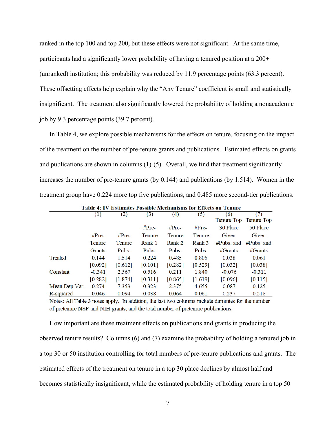ranked in the top 100 and top 200, but these effects were not significant. At the same time, participants had a significantly lower probability of having a tenured position at a 200+ (unranked) institution; this probability was reduced by 11.9 percentage points (63.3 percent). These offsetting effects help explain why the "Any Tenure" coefficient is small and statistically insignificant. The treatment also significantly lowered the probability of holding a nonacademic job by 9.3 percentage points (39.7 percent).

In Table 4, we explore possible mechanisms for the effects on tenure, focusing on the impact of the treatment on the number of pre-tenure grants and publications. Estimated effects on grants and publications are shown in columns  $(1)-(5)$ . Overall, we find that treatment significantly increases the number of pre-tenure grants (by 0.144) and publications (by 1.514). Women in the treatment group have 0.224 more top five publications, and 0.485 more second-tier publications.

|                | (1)           | $\left( 2\right)$ | (3)       | (4)       | (5)           | (6)          | (7)                   |
|----------------|---------------|-------------------|-----------|-----------|---------------|--------------|-----------------------|
|                |               |                   |           |           |               |              | Tenure Top Tenure Top |
|                |               |                   | $#Pre-$   | $#Pre-$   | $#Pre-$       | 30 Place     | 50 Place              |
|                | $\#Pre$       | $#Pre-$           | Tenure    | Tenure    | <b>Tenure</b> | Given        | Given                 |
|                | <b>Tenure</b> | <b>Tenure</b>     | Rank 1    | Rank 2    | Rank 3        | $#Pubs.$ and | $#Pubs.$ and          |
|                | Grants        | Pubs.             | Pubs.     | Pubs.     | Pubs.         | #Grants      | #Grants               |
| Treated        | 0.144         | 1.514             | 0.224     | 0.485     | 0.805         | 0.038        | 0.061                 |
|                | [0.092]       | [0.612]           | [0.101]   | $[0.282]$ | [0.529]       | $[0.032]$    | [0.038]               |
| Constant       | $-0.341$      | 2.567             | 0.516     | 0.211     | 1.840         | $-0.076$     | $-0.311$              |
|                | [0.282]       | [1.874]           | $[0.311]$ | $[0.865]$ | [1.619]       | [0.096]      | [0.115]               |
| Mean Dep. Var. | 0.274         | 7.353             | 0.323     | 2.375     | 4.655         | 0.087        | 0.125                 |
| R-squared      | 0.046         | 0.094             | 0.038     | 0.064     | 0.061         | 0.237        | 0.218                 |

**Table 4: IV Estimates Possible Mechanisms for Effects on Tenure** 

Notes: All Table 3 notes apply. In addition, the last two columns include dummies for the number of pretenure NSF and NIH grants, and the total number of pretenure publications.

How important are these treatment effects on publications and grants in producing the observed tenure results? Columns (6) and (7) examine the probability of holding a tenured job in a top 30 or 50 institution controlling for total numbers of pre-tenure publications and grants. The estimated effects of the treatment on tenure in a top 30 place declines by almost half and becomes statistically insignificant, while the estimated probability of holding tenure in a top 50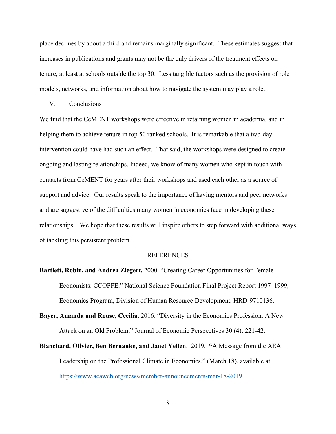place declines by about a third and remains marginally significant. These estimates suggest that increases in publications and grants may not be the only drivers of the treatment effects on tenure, at least at schools outside the top 30. Less tangible factors such as the provision of role models, networks, and information about how to navigate the system may play a role.

#### V. Conclusions

We find that the CeMENT workshops were effective in retaining women in academia, and in helping them to achieve tenure in top 50 ranked schools. It is remarkable that a two-day intervention could have had such an effect. That said, the workshops were designed to create ongoing and lasting relationships. Indeed, we know of many women who kept in touch with contacts from CeMENT for years after their workshops and used each other as a source of support and advice. Our results speak to the importance of having mentors and peer networks and are suggestive of the difficulties many women in economics face in developing these relationships. We hope that these results will inspire others to step forward with additional ways of tackling this persistent problem.

#### REFERENCES

**Bartlett, Robin, and Andrea Ziegert.** 2000. "Creating Career Opportunities for Female Economists: CCOFFE." National Science Foundation Final Project Report 1997–1999, Economics Program, Division of Human Resource Development, HRD-9710136.

**Bayer, Amanda and Rouse, Cecilia.** 2016. "Diversity in the Economics Profession: A New Attack on an Old Problem," Journal of Economic Perspectives 30 (4): 221-42.

**Blanchard, Olivier, Ben Bernanke, and Janet Yellen**. 2019. **"**A Message from the AEA Leadership on the Professional Climate in Economics." (March 18), available at https://www.aeaweb.org/news/member-announcements-mar-18-2019.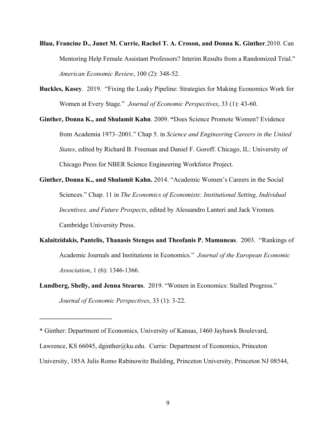- **Blau, Francine D., Janet M. Currie, Rachel T. A. Croson, and Donna K. Ginther**.2010. Can Mentoring Help Female Assistant Professors? Interim Results from a Randomized Trial." *American Economic Review*, 100 (2): 348-52.
- **Buckles, Kasey**. 2019. "Fixing the Leaky Pipeline: Strategies for Making Economics Work for Women at Every Stage." *Journal of Economic Perspectives*, 33 (1): 43-60.
- **Ginther, Donna K., and Shulamit Kahn**. 2009. **"**Does Science Promote Women? Evidence from Academia 1973–2001." Chap 5. in *Science and Engineering Careers in the United States*, edited by Richard B. Freeman and Daniel F. Goroff. Chicago, IL: University of Chicago Press for NBER Science Engineering Workforce Project.
- **Ginther, Donna K., and Shulamit Kahn.** 2014. "Academic Women's Careers in the Social Sciences." Chap. 11 in *The Economics of Economists: Institutional Setting, Individual Incentives, and Future Prospects*, edited by Alessandro Lanteri and Jack Vromen. Cambridge University Press.
- **Kalaitzidakis, Pantelis, Thanasis Stengos and Theofanis P. Mamuneas**. 2003. "Rankings of Academic Journals and Institutions in Economics." *Journal of the European Economic Association*, 1 (6): 1346-1366.
- **Lundberg, Shelly, and Jenna Stearns**. 2019. "Women in Economics: Stalled Progress." *Journal of Economic Perspectives*, 33 (1): 3-22.

**\_\_\_\_\_\_\_\_\_\_\_\_\_\_\_\_\_\_\_\_\_\_**

**<sup>\*</sup>** Ginther: Department of Economics, University of Kansas, 1460 Jayhawk Boulevard, Lawrence, KS 66045, dginther@ku.edu. Currie: Department of Economics, Princeton University, 185A Julis Romo Rabinowitz Building, Princeton University, Princeton NJ 08544,